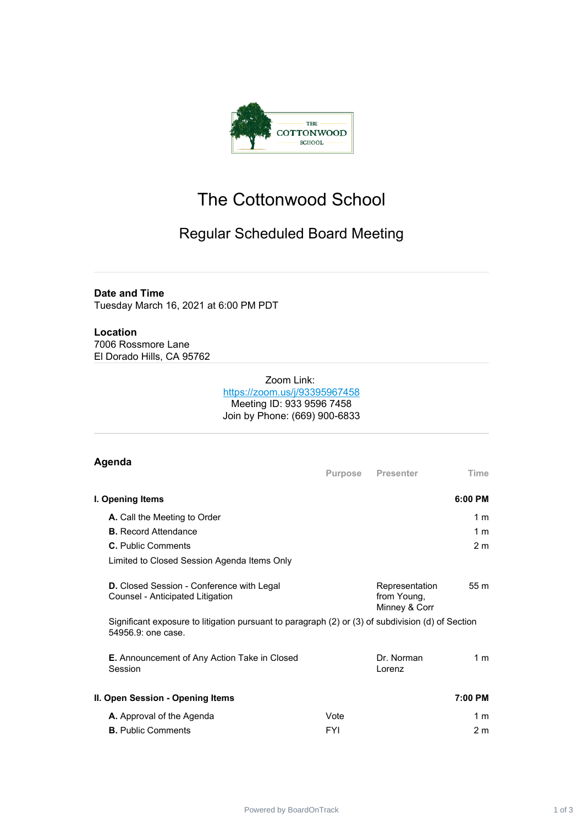

## The Cottonwood School

## Regular Scheduled Board Meeting

## **Date and Time** Tuesday March 16, 2021 at 6:00 PM PDT

**Location** 7006 Rossmore Lane El Dorado Hills, CA 95762

## Zoom Link: <https://zoom.us/j/93395967458> Meeting ID: 933 9596 7458 Join by Phone: (669) 900-6833

| Agenda                                                                                                                  | Purpose    | <b>Presenter</b>                               | Time           |
|-------------------------------------------------------------------------------------------------------------------------|------------|------------------------------------------------|----------------|
| I. Opening Items                                                                                                        |            |                                                | 6:00 PM        |
| A. Call the Meeting to Order                                                                                            |            |                                                | 1 <sub>m</sub> |
| <b>B.</b> Record Attendance                                                                                             |            |                                                | 1 <sub>m</sub> |
| <b>C.</b> Public Comments                                                                                               |            |                                                | 2 <sub>m</sub> |
| Limited to Closed Session Agenda Items Only                                                                             |            |                                                |                |
| <b>D.</b> Closed Session - Conference with Legal<br>Counsel - Anticipated Litigation                                    |            | Representation<br>from Young,<br>Minney & Corr | 55m            |
| Significant exposure to litigation pursuant to paragraph (2) or (3) of subdivision (d) of Section<br>54956.9: one case. |            |                                                |                |
| <b>E.</b> Announcement of Any Action Take in Closed<br>Session                                                          |            | Dr. Norman<br>Lorenz                           | 1 <sub>m</sub> |
| II. Open Session - Opening Items                                                                                        |            |                                                | 7:00 PM        |
| A. Approval of the Agenda                                                                                               | Vote       |                                                | 1 <sub>m</sub> |
| <b>B.</b> Public Comments                                                                                               | <b>FYI</b> |                                                | 2 <sub>m</sub> |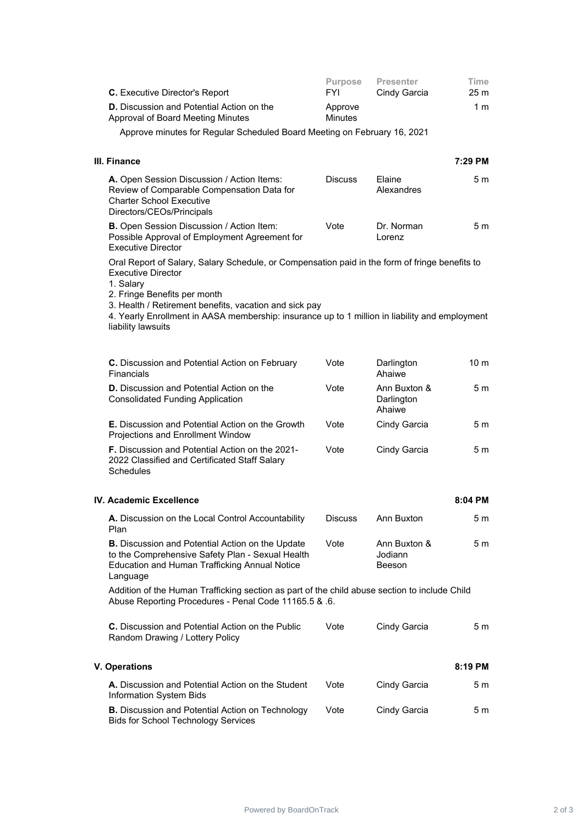| C. Executive Director's Report                                                                                                                                                                                                                                                                                                                      | <b>Purpose</b><br><b>FYI</b> | <b>Presenter</b><br>Cindy Garcia     | Time<br>25 <sub>m</sub> |  |  |  |
|-----------------------------------------------------------------------------------------------------------------------------------------------------------------------------------------------------------------------------------------------------------------------------------------------------------------------------------------------------|------------------------------|--------------------------------------|-------------------------|--|--|--|
| <b>D.</b> Discussion and Potential Action on the<br>Approval of Board Meeting Minutes                                                                                                                                                                                                                                                               | Approve<br><b>Minutes</b>    |                                      | 1 <sub>m</sub>          |  |  |  |
| Approve minutes for Regular Scheduled Board Meeting on February 16, 2021                                                                                                                                                                                                                                                                            |                              |                                      |                         |  |  |  |
| III. Finance                                                                                                                                                                                                                                                                                                                                        |                              |                                      | 7:29 PM                 |  |  |  |
| A. Open Session Discussion / Action Items:<br>Review of Comparable Compensation Data for<br><b>Charter School Executive</b><br>Directors/CEOs/Principals                                                                                                                                                                                            | <b>Discuss</b>               | Elaine<br>Alexandres                 | 5 m                     |  |  |  |
| B. Open Session Discussion / Action Item:<br>Possible Approval of Employment Agreement for<br><b>Executive Director</b>                                                                                                                                                                                                                             | Vote                         | Dr. Norman<br>Lorenz                 | 5 m                     |  |  |  |
| Oral Report of Salary, Salary Schedule, or Compensation paid in the form of fringe benefits to<br>Executive Director<br>1. Salary<br>2. Fringe Benefits per month<br>3. Health / Retirement benefits, vacation and sick pay<br>4. Yearly Enrollment in AASA membership: insurance up to 1 million in liability and employment<br>liability lawsuits |                              |                                      |                         |  |  |  |
| C. Discussion and Potential Action on February<br>Financials                                                                                                                                                                                                                                                                                        | Vote                         | Darlington<br>Ahaiwe                 | 10 <sub>m</sub>         |  |  |  |
| <b>D.</b> Discussion and Potential Action on the<br><b>Consolidated Funding Application</b>                                                                                                                                                                                                                                                         | Vote                         | Ann Buxton &<br>Darlington<br>Ahaiwe | 5 m                     |  |  |  |
| <b>E.</b> Discussion and Potential Action on the Growth<br>Projections and Enrollment Window                                                                                                                                                                                                                                                        | Vote                         | Cindy Garcia                         | 5 m                     |  |  |  |
| F. Discussion and Potential Action on the 2021-<br>2022 Classified and Certificated Staff Salary<br><b>Schedules</b>                                                                                                                                                                                                                                | Vote                         | Cindy Garcia                         | 5 m                     |  |  |  |
| IV. Academic Excellence                                                                                                                                                                                                                                                                                                                             |                              |                                      | 8:04 PM                 |  |  |  |
| A. Discussion on the Local Control Accountability<br>Plan                                                                                                                                                                                                                                                                                           | <b>Discuss</b>               | Ann Buxton                           | 5 <sub>m</sub>          |  |  |  |
| <b>B.</b> Discussion and Potential Action on the Update<br>to the Comprehensive Safety Plan - Sexual Health<br><b>Education and Human Trafficking Annual Notice</b><br>Language                                                                                                                                                                     | Vote                         | Ann Buxton &<br>Jodiann<br>Beeson    | 5 m                     |  |  |  |
| Addition of the Human Trafficking section as part of the child abuse section to include Child<br>Abuse Reporting Procedures - Penal Code 11165.5 & .6.                                                                                                                                                                                              |                              |                                      |                         |  |  |  |
| C. Discussion and Potential Action on the Public<br>Random Drawing / Lottery Policy                                                                                                                                                                                                                                                                 | Vote                         | Cindy Garcia                         | 5 <sub>m</sub>          |  |  |  |
| <b>V. Operations</b>                                                                                                                                                                                                                                                                                                                                |                              |                                      | 8:19 PM                 |  |  |  |
| A. Discussion and Potential Action on the Student<br>Information System Bids                                                                                                                                                                                                                                                                        | Vote                         | Cindy Garcia                         | 5 <sub>m</sub>          |  |  |  |
| B. Discussion and Potential Action on Technology<br><b>Bids for School Technology Services</b>                                                                                                                                                                                                                                                      | Vote                         | Cindy Garcia                         | 5 m                     |  |  |  |